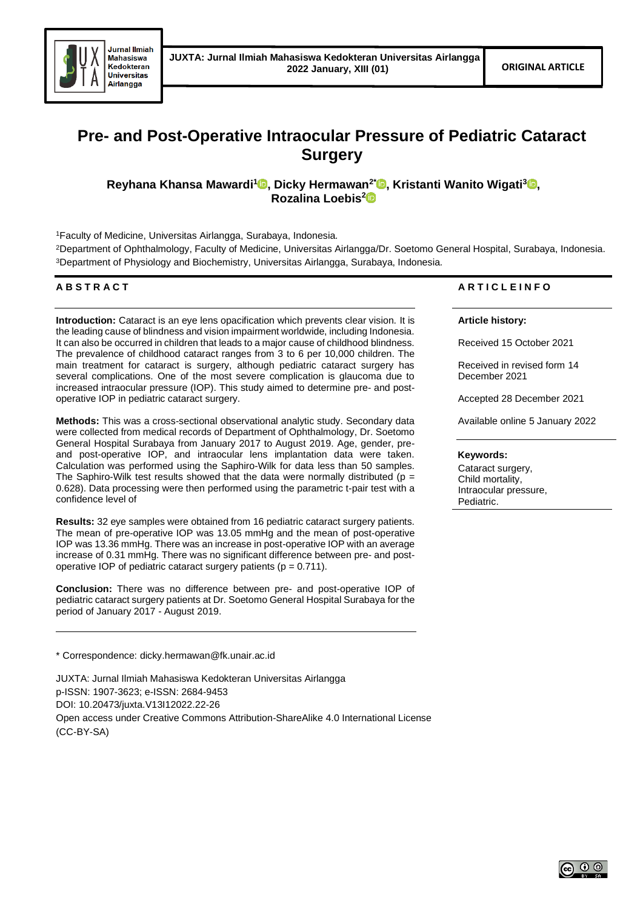

# **Pre- and Post-Operative Intraocular Pressure of Pediatric Cataract Surgery**

**Reyhana Khansa Mawardi[1](https://orcid.org/0000-0003-4302-5139) , Dicky Hermawan2[\\*](https://orcid.org/0000-0003-4809-5005) , Kristanti Wanito Wigati<sup>3</sup> [,](https://orcid.org/0000-0002-8542-5934) Rozalina Loebis<sup>2</sup>**

<sup>1</sup>Faculty of Medicine, Universitas Airlangga, Surabaya, Indonesia.

<sup>2</sup>Department of Ophthalmology, Faculty of Medicine, Universitas Airlangga/Dr. Soetomo General Hospital, Surabaya, Indonesia. <sup>3</sup>Department of Physiology and Biochemistry, Universitas Airlangga, Surabaya, Indonesia.

# **A B S T R A C T**

**Introduction:** Cataract is an eye lens opacification which prevents clear vision. It is the leading cause of blindness and vision impairment worldwide, including Indonesia. It can also be occurred in children that leads to a major cause of childhood blindness. The prevalence of childhood cataract ranges from 3 to 6 per 10,000 children. The main treatment for cataract is surgery, although pediatric cataract surgery has several complications. One of the most severe complication is glaucoma due to increased intraocular pressure (IOP). This study aimed to determine pre- and postoperative IOP in pediatric cataract surgery.

**Methods:** This was a cross-sectional observational analytic study. Secondary data were collected from medical records of Department of Ophthalmology, Dr. Soetomo General Hospital Surabaya from January 2017 to August 2019. Age, gender, preand post-operative IOP, and intraocular lens implantation data were taken. Calculation was performed using the Saphiro-Wilk for data less than 50 samples. The Saphiro-Wilk test results showed that the data were normally distributed ( $p =$ 0.628). Data processing were then performed using the parametric t-pair test with a confidence level of

**Results:** 32 eye samples were obtained from 16 pediatric cataract surgery patients. The mean of pre-operative IOP was 13.05 mmHg and the mean of post-operative IOP was 13.36 mmHg. There was an increase in post-operative IOP with an average increase of 0.31 mmHg. There was no significant difference between pre- and postoperative IOP of pediatric cataract surgery patients ( $p = 0.711$ ).

**Conclusion:** There was no difference between pre- and post-operative IOP of pediatric cataract surgery patients at Dr. Soetomo General Hospital Surabaya for the period of January 2017 - August 2019.

\* Correspondence: dicky.hermawan@fk.unair.ac.id

JUXTA: Jurnal Ilmiah Mahasiswa Kedokteran Universitas Airlangga p-ISSN: 1907-3623; e-ISSN: 2684-9453 DOI: 10.20473/juxta.V13I12022.22-26 Open access under Creative Commons Attribution-ShareAlike 4.0 International License

(CC-BY-SA)

# **A R T I C L E I N F O**

**Article history:**

Received 15 October 2021

Received in revised form 14 December 2021

Accepted 28 December 2021

Available online 5 January 2022

# **Keywords:**

Cataract surgery, Child mortality, Intraocular pressure, Pediatric.

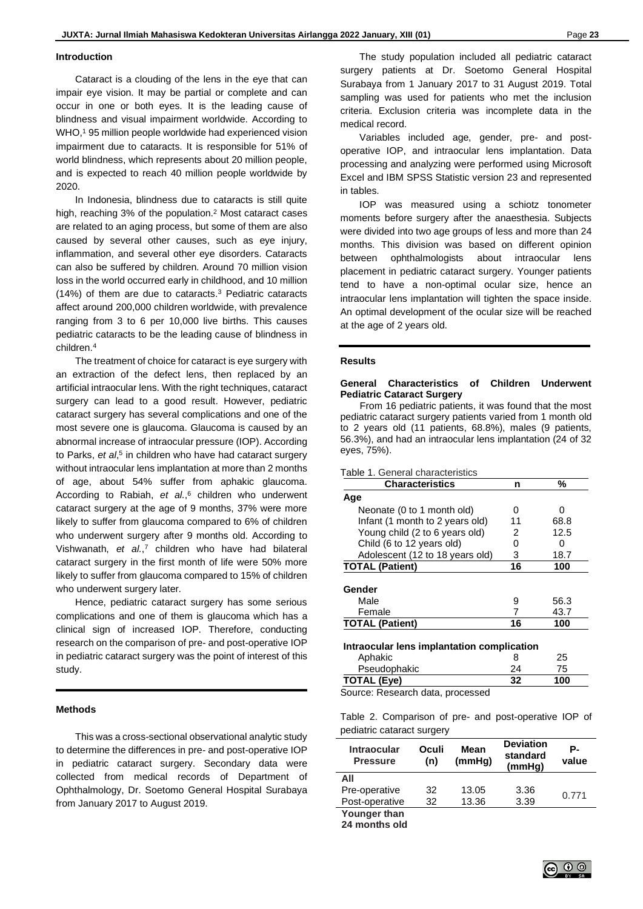#### **Introduction**

Cataract is a clouding of the lens in the eye that can impair eye vision. It may be partial or complete and can occur in one or both eyes. It is the leading cause of blindness and visual impairment worldwide. According to WHO, <sup>1</sup> 95 million people worldwide had experienced vision impairment due to cataracts. It is responsible for 51% of world blindness, which represents about 20 million people, and is expected to reach 40 million people worldwide by 2020.

In Indonesia, blindness due to cataracts is still quite high, reaching 3% of the population. <sup>2</sup> Most cataract cases are related to an aging process, but some of them are also caused by several other causes, such as eye injury, inflammation, and several other eye disorders. Cataracts can also be suffered by children. Around 70 million vision loss in the world occurred early in childhood, and 10 million (14%) of them are due to cataracts. <sup>3</sup> Pediatric cataracts affect around 200,000 children worldwide, with prevalence ranging from 3 to 6 per 10,000 live births. This causes pediatric cataracts to be the leading cause of blindness in children. 4

The treatment of choice for cataract is eye surgery with an extraction of the defect lens, then replaced by an artificial intraocular lens. With the right techniques, cataract surgery can lead to a good result. However, pediatric cataract surgery has several complications and one of the most severe one is glaucoma. Glaucoma is caused by an abnormal increase of intraocular pressure (IOP). According to Parks, *et al*, 5 in children who have had cataract surgery without intraocular lens implantation at more than 2 months of age, about 54% suffer from aphakic glaucoma. According to Rabiah, *et al.*, <sup>6</sup> children who underwent cataract surgery at the age of 9 months, 37% were more likely to suffer from glaucoma compared to 6% of children who underwent surgery after 9 months old. According to Vishwanath, *et al.*, <sup>7</sup> children who have had bilateral cataract surgery in the first month of life were 50% more likely to suffer from glaucoma compared to 15% of children who underwent surgery later.

Hence, pediatric cataract surgery has some serious complications and one of them is glaucoma which has a clinical sign of increased IOP. Therefore, conducting research on the comparison of pre- and post-operative IOP in pediatric cataract surgery was the point of interest of this study.

# **Methods**

This was a cross-sectional observational analytic study to determine the differences in pre- and post-operative IOP in pediatric cataract surgery. Secondary data were collected from medical records of Department of Ophthalmology, Dr. Soetomo General Hospital Surabaya from January 2017 to August 2019.

The study population included all pediatric cataract surgery patients at Dr. Soetomo General Hospital Surabaya from 1 January 2017 to 31 August 2019. Total sampling was used for patients who met the inclusion criteria. Exclusion criteria was incomplete data in the medical record.

Variables included age, gender, pre- and postoperative IOP, and intraocular lens implantation. Data processing and analyzing were performed using Microsoft Excel and IBM SPSS Statistic version 23 and represented in tables.

IOP was measured using a schiotz tonometer moments before surgery after the anaesthesia. Subjects were divided into two age groups of less and more than 24 months. This division was based on different opinion between ophthalmologists about intraocular lens placement in pediatric cataract surgery. Younger patients tend to have a non-optimal ocular size, hence an intraocular lens implantation will tighten the space inside. An optimal development of the ocular size will be reached at the age of 2 years old.

# **Results**

## **General Characteristics of Children Underwent Pediatric Cataract Surgery**

From 16 pediatric patients, it was found that the most pediatric cataract surgery patients varied from 1 month old to 2 years old (11 patients, 68.8%), males (9 patients, 56.3%), and had an intraocular lens implantation (24 of 32 eyes, 75%).

| Table 1. General characteristics           |    |      |  |  |  |  |
|--------------------------------------------|----|------|--|--|--|--|
| <b>Characteristics</b>                     | n  | %    |  |  |  |  |
| Age                                        |    |      |  |  |  |  |
| Neonate (0 to 1 month old)                 | O  | n    |  |  |  |  |
| Infant (1 month to 2 years old)            | 11 | 68.8 |  |  |  |  |
| Young child (2 to 6 years old)             | 2  | 12.5 |  |  |  |  |
| Child (6 to 12 years old)                  | 0  | 0    |  |  |  |  |
| Adolescent (12 to 18 years old)            | 3  | 18.7 |  |  |  |  |
| <b>TOTAL (Patient)</b>                     | 16 | 100  |  |  |  |  |
|                                            |    |      |  |  |  |  |
| Gender                                     |    |      |  |  |  |  |
| Male                                       | 9  | 56.3 |  |  |  |  |
| Female                                     | 7  | 43.7 |  |  |  |  |
| <b>TOTAL (Patient)</b>                     | 16 | 100  |  |  |  |  |
| Intraocular lens implantation complication |    |      |  |  |  |  |
| Aphakic                                    | 8  | 25   |  |  |  |  |
| Pseudophakic                               | 24 | 75   |  |  |  |  |
| <b>TOTAL (Eye)</b>                         | 32 | 100  |  |  |  |  |
| Source: Research data, processed           |    |      |  |  |  |  |

Table 2. Comparison of pre- and post-operative IOP of pediatric cataract surgery

| <b>Intraocular</b><br><b>Pressure</b> | Oculi<br>(n) | Mean<br>(mmHg) | <b>Deviation</b><br>standard<br>(mmHq) | Р-<br>value |
|---------------------------------------|--------------|----------------|----------------------------------------|-------------|
| All                                   |              |                |                                        |             |
| Pre-operative                         | 32           | 13.05          | 3.36                                   | 0.771       |
| Post-operative                        | 32           | 13.36          | 3.39                                   |             |
| Younger than                          |              |                |                                        |             |

**24 months old**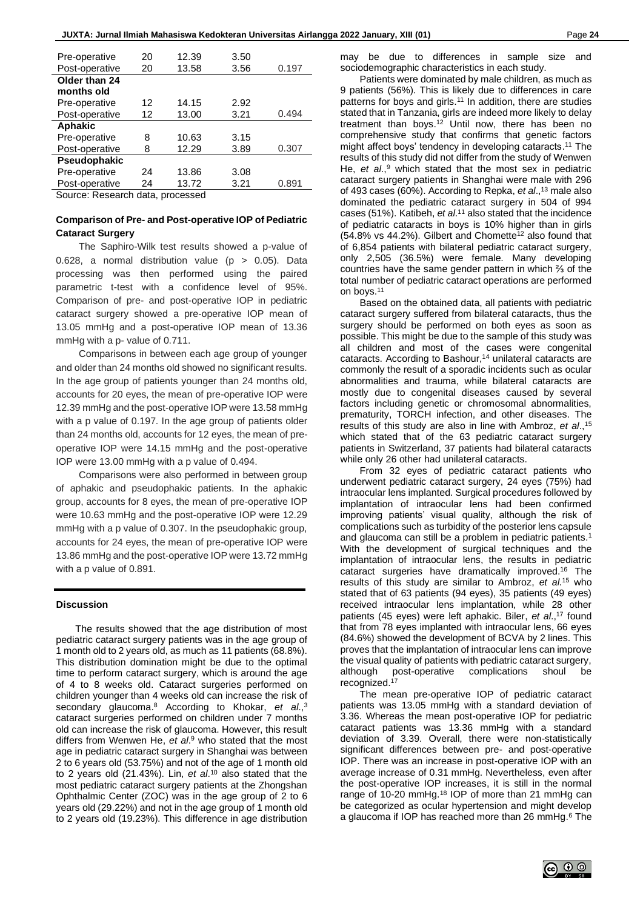| Pre-operative                      | 20 | 12.39 | 3.50 |       |  |  |
|------------------------------------|----|-------|------|-------|--|--|
| Post-operative                     | 20 | 13.58 | 3.56 | 0.197 |  |  |
| Older than 24                      |    |       |      |       |  |  |
| months old                         |    |       |      |       |  |  |
| Pre-operative                      | 12 | 14.15 | 2.92 |       |  |  |
| Post-operative                     | 12 | 13.00 | 3.21 | 0.494 |  |  |
| Aphakic                            |    |       |      |       |  |  |
| Pre-operative                      | 8  | 10.63 | 3.15 |       |  |  |
| Post-operative                     | 8  | 12.29 | 3.89 | 0.307 |  |  |
| Pseudophakic                       |    |       |      |       |  |  |
| Pre-operative                      | 24 | 13.86 | 3.08 |       |  |  |
| Post-operative                     | 24 | 13.72 | 3.21 | 0.891 |  |  |
| Source: Decearch data<br>processed |    |       |      |       |  |  |

Source: Research data, processed

# **Comparison of Pre- and Post-operative IOP of Pediatric Cataract Surgery**

The Saphiro-Wilk test results showed a p-value of 0.628, a normal distribution value ( $p > 0.05$ ). Data processing was then performed using the paired parametric t-test with a confidence level of 95%. Comparison of pre- and post-operative IOP in pediatric cataract surgery showed a pre-operative IOP mean of 13.05 mmHg and a post-operative IOP mean of 13.36 mmHg with a p- value of 0.711.

Comparisons in between each age group of younger and older than 24 months old showed no significant results. In the age group of patients younger than 24 months old, accounts for 20 eyes, the mean of pre-operative IOP were 12.39 mmHg and the post-operative IOP were 13.58 mmHg with a p value of 0.197. In the age group of patients older than 24 months old, accounts for 12 eyes, the mean of preoperative IOP were 14.15 mmHg and the post-operative IOP were 13.00 mmHg with a p value of 0.494.

Comparisons were also performed in between group of aphakic and pseudophakic patients. In the aphakic group, accounts for 8 eyes, the mean of pre-operative IOP were 10.63 mmHg and the post-operative IOP were 12.29 mmHg with a p value of 0.307. In the pseudophakic group, accounts for 24 eyes, the mean of pre-operative IOP were 13.86 mmHg and the post-operative IOP were 13.72 mmHg with a p value of 0.891.

#### **Discussion**

The results showed that the age distribution of most pediatric cataract surgery patients was in the age group of 1 month old to 2 years old, as much as 11 patients (68.8%). This distribution domination might be due to the optimal time to perform cataract surgery, which is around the age of 4 to 8 weeks old. Cataract surgeries performed on children younger than 4 weeks old can increase the risk of secondary glaucoma. <sup>8</sup> According to Khokar, *et al*., 3 cataract surgeries performed on children under 7 months old can increase the risk of glaucoma. However, this result differs from Wenwen He, *et al*. <sup>9</sup> who stated that the most age in pediatric cataract surgery in Shanghai was between 2 to 6 years old (53.75%) and not of the age of 1 month old to 2 years old (21.43%). Lin, *et al*. <sup>10</sup> also stated that the most pediatric cataract surgery patients at the Zhongshan Ophthalmic Center (ZOC) was in the age group of 2 to 6 years old (29.22%) and not in the age group of 1 month old to 2 years old (19.23%). This difference in age distribution

may be due to differences in sample size and sociodemographic characteristics in each study.

Patients were dominated by male children, as much as 9 patients (56%). This is likely due to differences in care patterns for boys and girls. <sup>11</sup> In addition, there are studies stated that in Tanzania, girls are indeed more likely to delay treatment than boys. <sup>12</sup> Until now, there has been no comprehensive study that confirms that genetic factors might affect boys' tendency in developing cataracts. <sup>11</sup> The results of this study did not differ from the study of Wenwen He, *et al*., <sup>9</sup> which stated that the most sex in pediatric cataract surgery patients in Shanghai were male with 296 of 493 cases (60%). According to Repka, *et al*., <sup>13</sup> male also dominated the pediatric cataract surgery in 504 of 994 cases (51%). Katibeh, *et al*. <sup>11</sup> also stated that the incidence of pediatric cataracts in boys is 10% higher than in girls (54.8% vs 44.2%). Gilbert and Chomette<sup>12</sup> also found that of 6,854 patients with bilateral pediatric cataract surgery, only 2,505 (36.5%) were female. Many developing countries have the same gender pattern in which ⅔ of the total number of pediatric cataract operations are performed on boys.<sup>11</sup>

Based on the obtained data, all patients with pediatric cataract surgery suffered from bilateral cataracts, thus the surgery should be performed on both eyes as soon as possible. This might be due to the sample of this study was all children and most of the cases were congenital cataracts. According to Bashour, <sup>14</sup> unilateral cataracts are commonly the result of a sporadic incidents such as ocular abnormalities and trauma, while bilateral cataracts are mostly due to congenital diseases caused by several factors including genetic or chromosomal abnormalities, prematurity, TORCH infection, and other diseases. The results of this study are also in line with Ambroz, *et al*., 15 which stated that of the 63 pediatric cataract surgery patients in Switzerland, 37 patients had bilateral cataracts while only 26 other had unilateral cataracts.

From 32 eyes of pediatric cataract patients who underwent pediatric cataract surgery, 24 eyes (75%) had intraocular lens implanted. Surgical procedures followed by implantation of intraocular lens had been confirmed improving patients' visual quality, although the risk of complications such as turbidity of the posterior lens capsule and glaucoma can still be a problem in pediatric patients. 1 With the development of surgical techniques and the implantation of intraocular lens, the results in pediatric cataract surgeries have dramatically improved. <sup>16</sup> The results of this study are similar to Ambroz, *et al*. <sup>15</sup> who stated that of 63 patients (94 eyes), 35 patients (49 eyes) received intraocular lens implantation, while 28 other patients (45 eyes) were left aphakic. Biler, *et al*., <sup>17</sup> found that from 78 eyes implanted with intraocular lens, 66 eyes (84.6%) showed the development of BCVA by 2 lines. This proves that the implantation of intraocular lens can improve the visual quality of patients with pediatric cataract surgery, although post-operative complications shoul be recognized. 17

The mean pre-operative IOP of pediatric cataract patients was 13.05 mmHg with a standard deviation of 3.36. Whereas the mean post-operative IOP for pediatric cataract patients was 13.36 mmHg with a standard deviation of 3.39. Overall, there were non-statistically significant differences between pre- and post-operative IOP. There was an increase in post-operative IOP with an average increase of 0.31 mmHg. Nevertheless, even after the post-operative IOP increases, it is still in the normal range of 10-20 mmHg.<sup>18</sup> IOP of more than 21 mmHg can be categorized as ocular hypertension and might develop a glaucoma if IOP has reached more than 26 mmHg. <sup>6</sup> The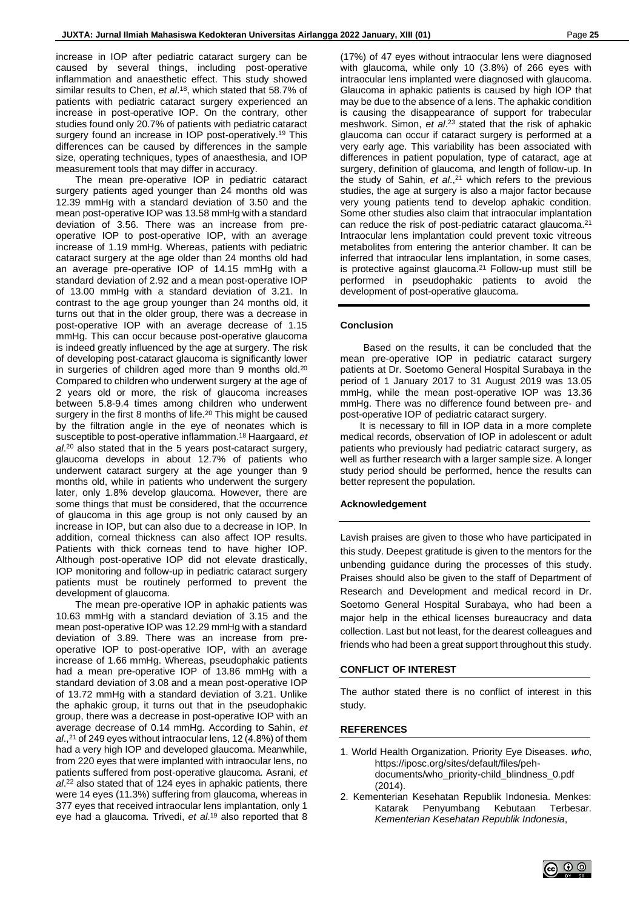increase in IOP after pediatric cataract surgery can be caused by several things, including post-operative inflammation and anaesthetic effect. This study showed similar results to Chen, *et al*. <sup>18</sup>, which stated that 58.7% of patients with pediatric cataract surgery experienced an increase in post-operative IOP. On the contrary, other studies found only 20.7% of patients with pediatric cataract surgery found an increase in IOP post-operatively.<sup>19</sup> This differences can be caused by differences in the sample size, operating techniques, types of anaesthesia, and IOP measurement tools that may differ in accuracy.

The mean pre-operative IOP in pediatric cataract surgery patients aged younger than 24 months old was 12.39 mmHg with a standard deviation of 3.50 and the mean post-operative IOP was 13.58 mmHg with a standard deviation of 3.56. There was an increase from preoperative IOP to post-operative IOP, with an average increase of 1.19 mmHg. Whereas, patients with pediatric cataract surgery at the age older than 24 months old had an average pre-operative IOP of 14.15 mmHg with a standard deviation of 2.92 and a mean post-operative IOP of 13.00 mmHg with a standard deviation of 3.21. In contrast to the age group younger than 24 months old, it turns out that in the older group, there was a decrease in post-operative IOP with an average decrease of 1.15 mmHg. This can occur because post-operative glaucoma is indeed greatly influenced by the age at surgery. The risk of developing post-cataract glaucoma is significantly lower in surgeries of children aged more than 9 months old.<sup>20</sup> Compared to children who underwent surgery at the age of 2 years old or more, the risk of glaucoma increases between 5.8-9.4 times among children who underwent surgery in the first 8 months of life.<sup>20</sup> This might be caused by the filtration angle in the eye of neonates which is susceptible to post-operative inflammation. <sup>18</sup> Haargaard, *et al*. <sup>20</sup> also stated that in the 5 years post-cataract surgery, glaucoma develops in about 12.7% of patients who underwent cataract surgery at the age younger than 9 months old, while in patients who underwent the surgery later, only 1.8% develop glaucoma. However, there are some things that must be considered, that the occurrence of glaucoma in this age group is not only caused by an increase in IOP, but can also due to a decrease in IOP. In addition, corneal thickness can also affect IOP results. Patients with thick corneas tend to have higher IOP. Although post-operative IOP did not elevate drastically, IOP monitoring and follow-up in pediatric cataract surgery patients must be routinely performed to prevent the development of glaucoma.

The mean pre-operative IOP in aphakic patients was 10.63 mmHg with a standard deviation of 3.15 and the mean post-operative IOP was 12.29 mmHg with a standard deviation of 3.89. There was an increase from preoperative IOP to post-operative IOP, with an average increase of 1.66 mmHg. Whereas, pseudophakic patients had a mean pre-operative IOP of 13.86 mmHg with a standard deviation of 3.08 and a mean post-operative IOP of 13.72 mmHg with a standard deviation of 3.21. Unlike the aphakic group, it turns out that in the pseudophakic group, there was a decrease in post-operative IOP with an average decrease of 0.14 mmHg. According to Sahin, *et al*., <sup>21</sup> of 249 eyes without intraocular lens, 12 (4.8%) of them had a very high IOP and developed glaucoma. Meanwhile, from 220 eyes that were implanted with intraocular lens, no patients suffered from post-operative glaucoma. Asrani, *et al*. <sup>22</sup> also stated that of 124 eyes in aphakic patients, there were 14 eyes (11.3%) suffering from glaucoma, whereas in 377 eyes that received intraocular lens implantation, only 1 eye had a glaucoma. Trivedi, *et al*. <sup>19</sup> also reported that 8

(17%) of 47 eyes without intraocular lens were diagnosed with glaucoma, while only 10 (3.8%) of 266 eyes with intraocular lens implanted were diagnosed with glaucoma. Glaucoma in aphakic patients is caused by high IOP that may be due to the absence of a lens. The aphakic condition is causing the disappearance of support for trabecular meshwork. Simon, *et al*. <sup>23</sup> stated that the risk of aphakic glaucoma can occur if cataract surgery is performed at a very early age. This variability has been associated with differences in patient population, type of cataract, age at surgery, definition of glaucoma, and length of follow-up. In the study of Sahin, *et al*., <sup>21</sup> which refers to the previous studies, the age at surgery is also a major factor because very young patients tend to develop aphakic condition. Some other studies also claim that intraocular implantation can reduce the risk of post-pediatric cataract glaucoma. 21 Intraocular lens implantation could prevent toxic vitreous metabolites from entering the anterior chamber. It can be inferred that intraocular lens implantation, in some cases, is protective against glaucoma. <sup>21</sup> Follow-up must still be performed in pseudophakic patients to avoid the development of post-operative glaucoma.

### **Conclusion**

Based on the results, it can be concluded that the mean pre-operative IOP in pediatric cataract surgery patients at Dr. Soetomo General Hospital Surabaya in the period of 1 January 2017 to 31 August 2019 was 13.05 mmHg, while the mean post-operative IOP was 13.36 mmHg. There was no difference found between pre- and post-operative IOP of pediatric cataract surgery.

It is necessary to fill in IOP data in a more complete medical records, observation of IOP in adolescent or adult patients who previously had pediatric cataract surgery, as well as further research with a larger sample size. A longer study period should be performed, hence the results can better represent the population.

#### **Acknowledgement**

Lavish praises are given to those who have participated in this study. Deepest gratitude is given to the mentors for the unbending guidance during the processes of this study. Praises should also be given to the staff of Department of Research and Development and medical record in Dr. Soetomo General Hospital Surabaya, who had been a major help in the ethical licenses bureaucracy and data collection. Last but not least, for the dearest colleagues and friends who had been a great support throughout this study.

#### **CONFLICT OF INTEREST**

The author stated there is no conflict of interest in this study.

#### **REFERENCES**

- 1. World Health Organization. Priority Eye Diseases. *who*, https://iposc.org/sites/default/files/pehdocuments/who\_priority-child\_blindness\_0.pdf (2014).
- 2. Kementerian Kesehatan Republik Indonesia. Menkes: Katarak Penyumbang Kebutaan Terbesar. *Kementerian Kesehatan Republik Indonesia*,